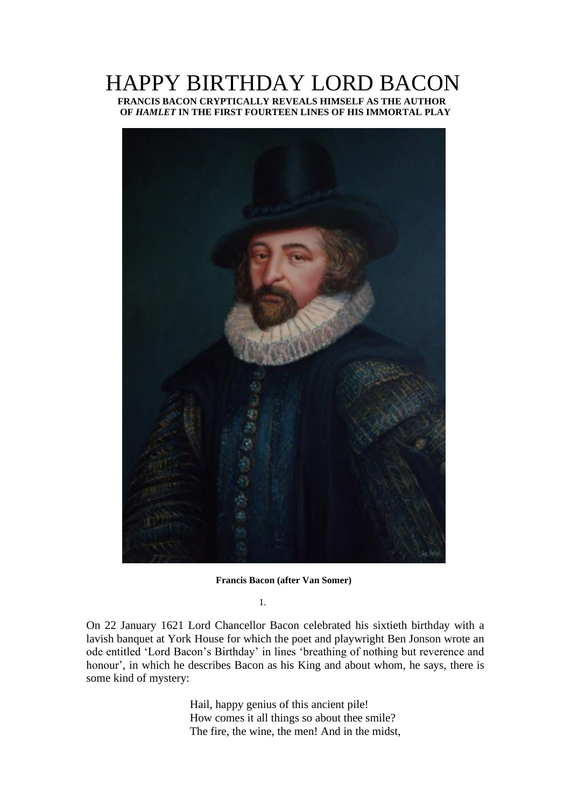# HAPPY BIRTHDAY LORD BACON  **FRANCIS BACON CRYPTICALLY REVEALS HIMSELF AS THE AUTHOR OF** *HAMLET* **IN THE FIRST FOURTEEN LINES OF HIS IMMORTAL PLAY**



**Francis Bacon (after Van Somer)**

1.

On 22 January 1621 Lord Chancellor Bacon celebrated his sixtieth birthday with a lavish banquet at York House for which the poet and playwright Ben Jonson wrote an ode entitled 'Lord Bacon's Birthday' in lines 'breathing of nothing but reverence and honour', in which he describes Bacon as his King and about whom, he says, there is some kind of mystery:

> Hail, happy genius of this ancient pile! How comes it all things so about thee smile? The fire, the wine, the men! And in the midst,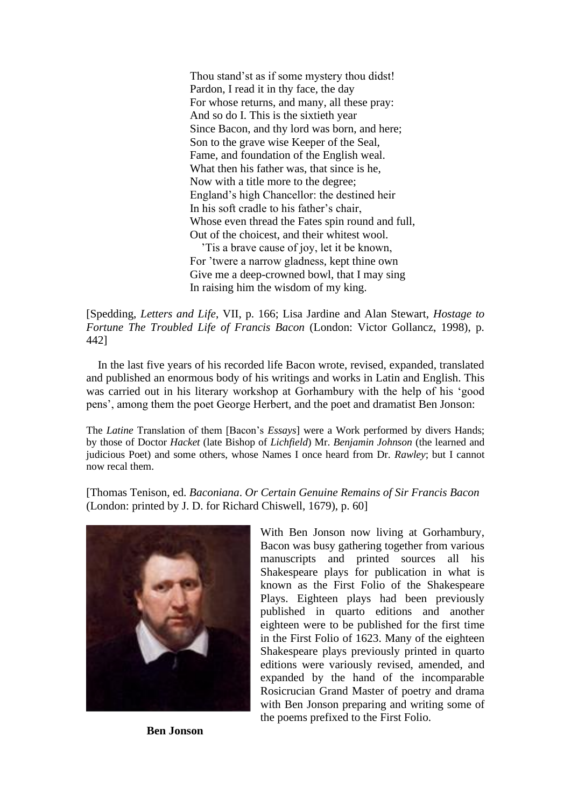Thou stand'st as if some mystery thou didst! Pardon, I read it in thy face, the day For whose returns, and many, all these pray: And so do I. This is the sixtieth year Since Bacon, and thy lord was born, and here; Son to the grave wise Keeper of the Seal, Fame, and foundation of the English weal. What then his father was, that since is he, Now with a title more to the degree; England's high Chancellor: the destined heir In his soft cradle to his father's chair, Whose even thread the Fates spin round and full, Out of the choicest, and their whitest wool.

 'Tis a brave cause of joy, let it be known, For 'twere a narrow gladness, kept thine own Give me a deep-crowned bowl, that I may sing In raising him the wisdom of my king.

[Spedding, *Letters and Life*, VII, p. 166; Lisa Jardine and Alan Stewart, *Hostage to Fortune The Troubled Life of Francis Bacon* (London: Victor Gollancz, 1998), p. 442]

 In the last five years of his recorded life Bacon wrote, revised, expanded, translated and published an enormous body of his writings and works in Latin and English. This was carried out in his literary workshop at Gorhambury with the help of his 'good pens', among them the poet George Herbert, and the poet and dramatist Ben Jonson:

The *Latine* Translation of them [Bacon's *Essays*] were a Work performed by divers Hands; by those of Doctor *Hacket* (late Bishop of *Lichfield*) Mr. *Benjamin Johnson* (the learned and judicious Poet) and some others, whose Names I once heard from Dr. *Rawley*; but I cannot now recal them.

[Thomas Tenison, ed. *Baconiana*. *Or Certain Genuine Remains of Sir Francis Bacon*  (London: printed by J. D. for Richard Chiswell, 1679), p. 60]



 **Ben Jonson**

With Ben Jonson now living at Gorhambury, Bacon was busy gathering together from various manuscripts and printed sources all his Shakespeare plays for publication in what is known as the First Folio of the Shakespeare Plays. Eighteen plays had been previously published in quarto editions and another eighteen were to be published for the first time in the First Folio of 1623. Many of the eighteen Shakespeare plays previously printed in quarto editions were variously revised, amended, and expanded by the hand of the incomparable Rosicrucian Grand Master of poetry and drama with Ben Jonson preparing and writing some of the poems prefixed to the First Folio.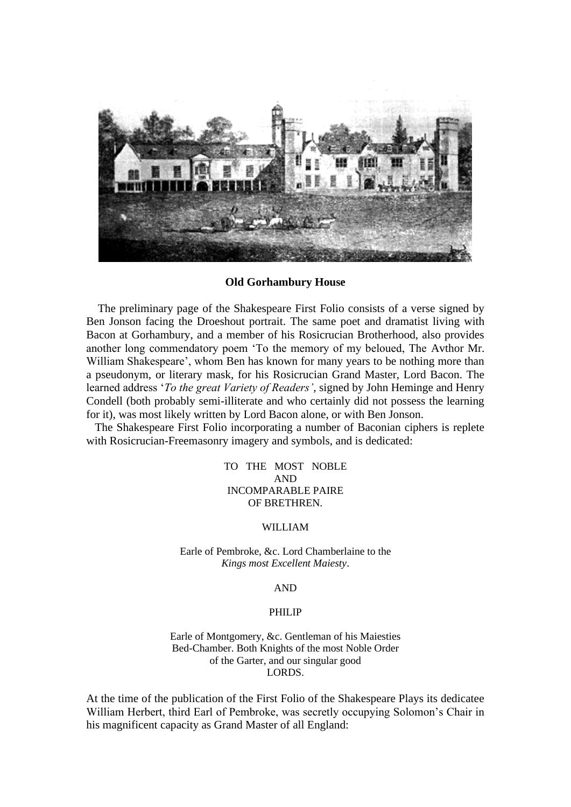

#### **Old Gorhambury House**

 The preliminary page of the Shakespeare First Folio consists of a verse signed by Ben Jonson facing the Droeshout portrait. The same poet and dramatist living with Bacon at Gorhambury, and a member of his Rosicrucian Brotherhood, also provides another long commendatory poem 'To the memory of my beloued, The Avthor Mr. William Shakespeare', whom Ben has known for many years to be nothing more than a pseudonym, or literary mask, for his Rosicrucian Grand Master, Lord Bacon. The learned address '*To the great Variety of Readers'*, signed by John Heminge and Henry Condell (both probably semi-illiterate and who certainly did not possess the learning for it), was most likely written by Lord Bacon alone, or with Ben Jonson.

 The Shakespeare First Folio incorporating a number of Baconian ciphers is replete with Rosicrucian-Freemasonry imagery and symbols, and is dedicated:

> TO THE MOST NOBLE AND INCOMPARABLE PAIRE OF BRETHREN.

#### WILLIAM

Earle of Pembroke, &c. Lord Chamberlaine to the *Kings most Excellent Maiesty*.

## AND

#### PHILIP

Earle of Montgomery, &c. Gentleman of his Maiesties Bed-Chamber. Both Knights of the most Noble Order of the Garter, and our singular good LORDS.

At the time of the publication of the First Folio of the Shakespeare Plays its dedicatee William Herbert, third Earl of Pembroke, was secretly occupying Solomon's Chair in his magnificent capacity as Grand Master of all England: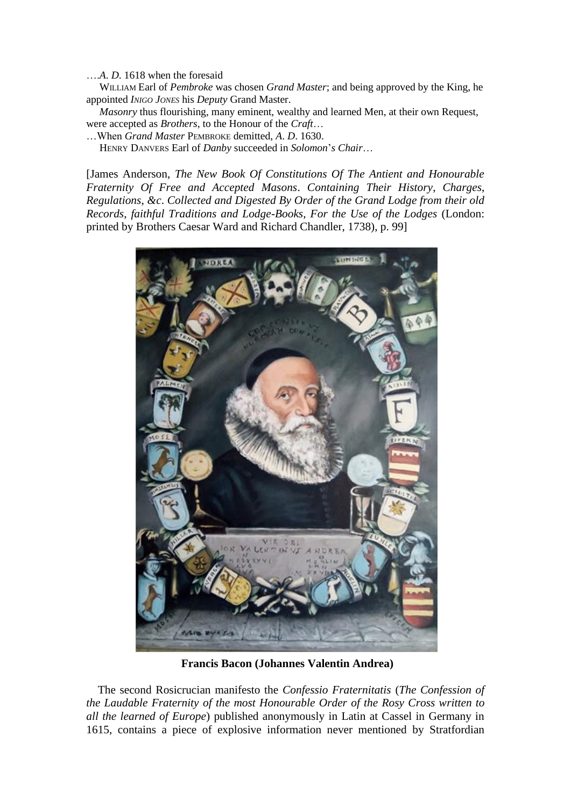….*A*. *D*. 1618 when the foresaid

 WILLIAM Earl of *Pembroke* was chosen *Grand Master*; and being approved by the King, he appointed *INIGO JONES* his *Deputy* Grand Master.

 *Masonry* thus flourishing, many eminent, wealthy and learned Men, at their own Request, were accepted as *Brothers*, to the Honour of the *Craft*…

…When *Grand Master* PEMBROKE demitted, *A*. *D*. 1630.

HENRY DANVERS Earl of *Danby* succeeded in *Solomon*'*s Chair*…

[James Anderson, *The New Book Of Constitutions Of The Antient and Honourable Fraternity Of Free and Accepted Masons*. *Containing Their History*, *Charges*, *Regulations*, *&c*. *Collected and Digested By Order of the Grand Lodge from their old Records*, *faithful Traditions and Lodge-Books*, *For the Use of the Lodges* (London: printed by Brothers Caesar Ward and Richard Chandler, 1738), p. 99]



**Francis Bacon (Johannes Valentin Andrea)**

 The second Rosicrucian manifesto the *Confessio Fraternitatis* (*The Confession of the Laudable Fraternity of the most Honourable Order of the Rosy Cross written to all the learned of Europe*) published anonymously in Latin at Cassel in Germany in 1615, contains a piece of explosive information never mentioned by Stratfordian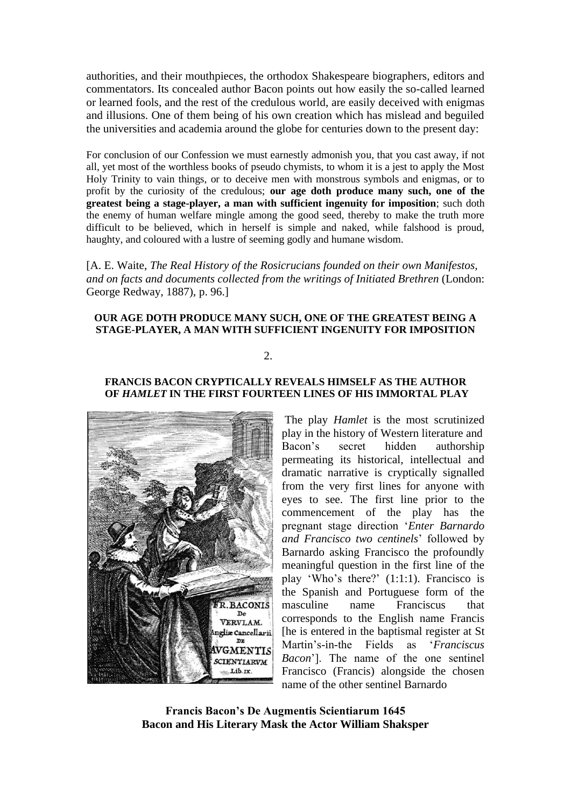authorities, and their mouthpieces, the orthodox Shakespeare biographers, editors and commentators. Its concealed author Bacon points out how easily the so-called learned or learned fools, and the rest of the credulous world, are easily deceived with enigmas and illusions. One of them being of his own creation which has mislead and beguiled the universities and academia around the globe for centuries down to the present day:

For conclusion of our Confession we must earnestly admonish you, that you cast away, if not all, yet most of the worthless books of pseudo chymists, to whom it is a jest to apply the Most Holy Trinity to vain things, or to deceive men with monstrous symbols and enigmas, or to profit by the curiosity of the credulous; **our age doth produce many such, one of the greatest being a stage-player, a man with sufficient ingenuity for imposition**; such doth the enemy of human welfare mingle among the good seed, thereby to make the truth more difficult to be believed, which in herself is simple and naked, while falshood is proud, haughty, and coloured with a lustre of seeming godly and humane wisdom.

[A. E. Waite, *The Real History of the Rosicrucians founded on their own Manifestos, and on facts and documents collected from the writings of Initiated Brethren* (London: George Redway, 1887), p. 96.]

#### **OUR AGE DOTH PRODUCE MANY SUCH, ONE OF THE GREATEST BEING A STAGE-PLAYER, A MAN WITH SUFFICIENT INGENUITY FOR IMPOSITION**

## 2.

#### **FRANCIS BACON CRYPTICALLY REVEALS HIMSELF AS THE AUTHOR OF** *HAMLET* **IN THE FIRST FOURTEEN LINES OF HIS IMMORTAL PLAY**



The play *Hamlet* is the most scrutinized play in the history of Western literature and Bacon's secret hidden authorship permeating its historical, intellectual and dramatic narrative is cryptically signalled from the very first lines for anyone with eyes to see. The first line prior to the commencement of the play has the pregnant stage direction '*Enter Barnardo and Francisco two centinels*' followed by Barnardo asking Francisco the profoundly meaningful question in the first line of the play 'Who's there?' (1:1:1). Francisco is the Spanish and Portuguese form of the masculine name Franciscus that corresponds to the English name Francis [he is entered in the baptismal register at St Martin's-in-the Fields as '*Franciscus Bacon*']. The name of the one sentinel Francisco (Francis) alongside the chosen name of the other sentinel Barnardo

**Francis Bacon's De Augmentis Scientiarum 1645 Bacon and His Literary Mask the Actor William Shaksper**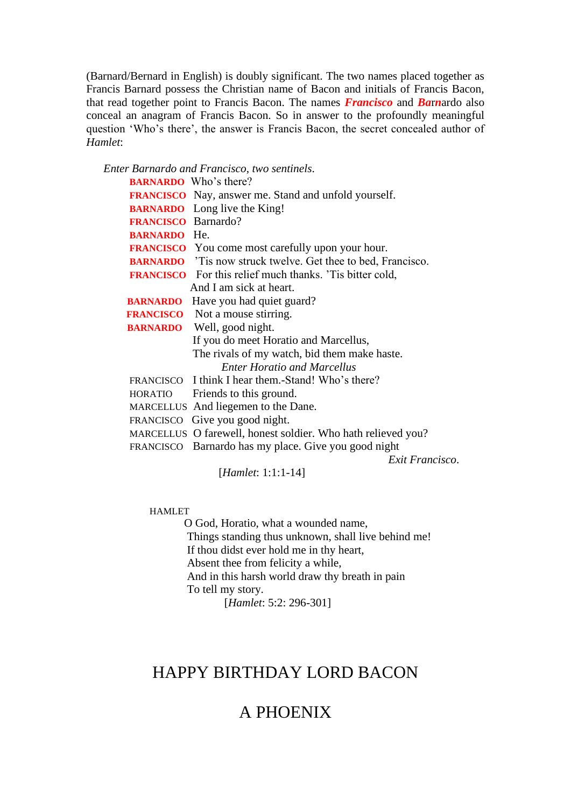(Barnard/Bernard in English) is doubly significant. The two names placed together as Francis Barnard possess the Christian name of Bacon and initials of Francis Bacon, that read together point to Francis Bacon. The names *Francisco* and *Ba*r*n*ardo also conceal an anagram of Francis Bacon. So in answer to the profoundly meaningful question 'Who's there', the answer is Francis Bacon, the secret concealed author of *Hamlet*:

*Enter Barnardo and Francisco*, *two sentinels*.

|                            | <b>BARNARDO</b> Who's there?                                        |
|----------------------------|---------------------------------------------------------------------|
|                            | <b>FRANCISCO</b> Nay, answer me. Stand and unfold yourself.         |
|                            | <b>BARNARDO</b> Long live the King!                                 |
| <b>FRANCISCO</b> Barnardo? |                                                                     |
| <b>BARNARDO</b> He.        |                                                                     |
|                            | <b>FRANCISCO</b> You come most carefully upon your hour.            |
|                            | <b>BARNARDO</b> 'Tis now struck twelve. Get thee to bed, Francisco. |
|                            | <b>FRANCISCO</b> For this relief much thanks. Tis bitter cold,      |
|                            | And I am sick at heart.                                             |
|                            | <b>BARNARDO</b> Have you had quiet guard?                           |
|                            | <b>FRANCISCO</b> Not a mouse stirring.                              |
|                            | <b>BARNARDO</b> Well, good night.                                   |
|                            | If you do meet Horatio and Marcellus,                               |
|                            | The rivals of my watch, bid them make haste.                        |
|                            | <b>Enter Horatio and Marcellus</b>                                  |
|                            | FRANCISCO I think I hear them.-Stand! Who's there?                  |
|                            | HORATIO Friends to this ground.                                     |
|                            | MARCELLUS And liegemen to the Dane.                                 |
|                            | FRANCISCO Give you good night.                                      |
|                            | MARCELLUS O farewell, honest soldier. Who hath relieved you?        |
|                            | FRANCISCO Barnardo has my place. Give you good night                |
|                            | Exit Francisco.                                                     |

[*Hamlet*: 1:1:1-14]

## HAMLET

 O God, Horatio, what a wounded name, Things standing thus unknown, shall live behind me! If thou didst ever hold me in thy heart, Absent thee from felicity a while, And in this harsh world draw thy breath in pain To tell my story.

[*Hamlet*: 5:2: 296-301]

# HAPPY BIRTHDAY LORD BACON

# A PHOENIX